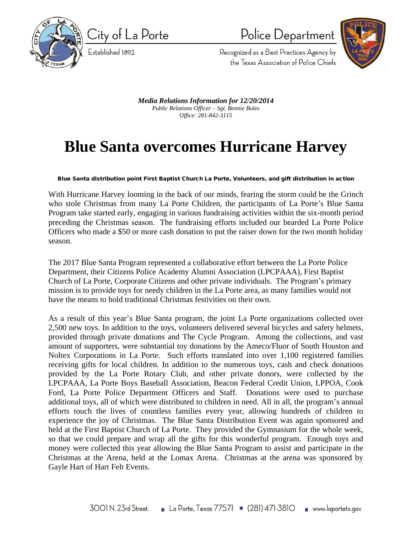

City of La Porte

Established 1892

Police Department



Recognized as a Best Practices Agency by the Texas Association of Police Chiefs

*Media Relations Information for 12/20/2014 Public Relations Officer – Sgt. Bennie Boles Office: 281-842-3115*

## **Blue Santa overcomes Hurricane Harvey**

**Blue Santa distribution point First Baptist Church La Porte, Volunteers, and gift distribution in action**

With Hurricane Harvey looming in the back of our minds, fearing the storm could be the Grinch who stole Christmas from many La Porte Children, the participants of La Porte's Blue Santa Program take started early, engaging in various fundraising activities within the six-month period preceding the Christmas season. The fundraising efforts included our bearded La Porte Police Officers who made a \$50 or more cash donation to put the raiser down for the two month holiday season.

The 2017 Blue Santa Program represented a collaborative effort between the La Porte Police Department, their Citizens Police Academy Alumni Association (LPCPAAA), First Baptist Church of La Porte, Corporate Citizens and other private individuals. The Program's primary mission is to provide toys for needy children in the La Porte area, as many families would not have the means to hold traditional Christmas festivities on their own.

As a result of this year's Blue Santa program, the joint La Porte organizations collected over 2,500 new toys. In addition to the toys, volunteers delivered several bicycles and safety helmets, provided through private donations and The Cycle Program. Among the collections, and vast amount of supporters, were substantial toy donations by the Ameco/Fluor of South Houston and Noltex Corporations in La Porte. Such efforts translated into over 1,100 registered families receiving gifts for local children. In addition to the numerous toys, cash and check donations provided by the La Porte Rotary Club, and other private donors, were collected by the LPCPAAA, La Porte Boys Baseball Association, Beacon Federal Credit Union, LPPOA, Cook Ford, La Porte Police Department Officers and Staff. Donations were used to purchase additional toys, all of which were distributed to children in need. All in all, the program's annual efforts touch the lives of countless families every year, allowing hundreds of children to experience the joy of Christmas. The Blue Santa Distribution Event was again sponsored and held at the First Baptist Church of La Porte. They provided the Gymnasium for the whole week, so that we could prepare and wrap all the gifts for this wonderful program. Enough toys and money were collected this year allowing the Blue Santa Program to assist and participate in the Christmas at the Arena, held at the Lomax Arena. Christmas at the arena was sponsored by Gayle Hart of Hart Felt Events.